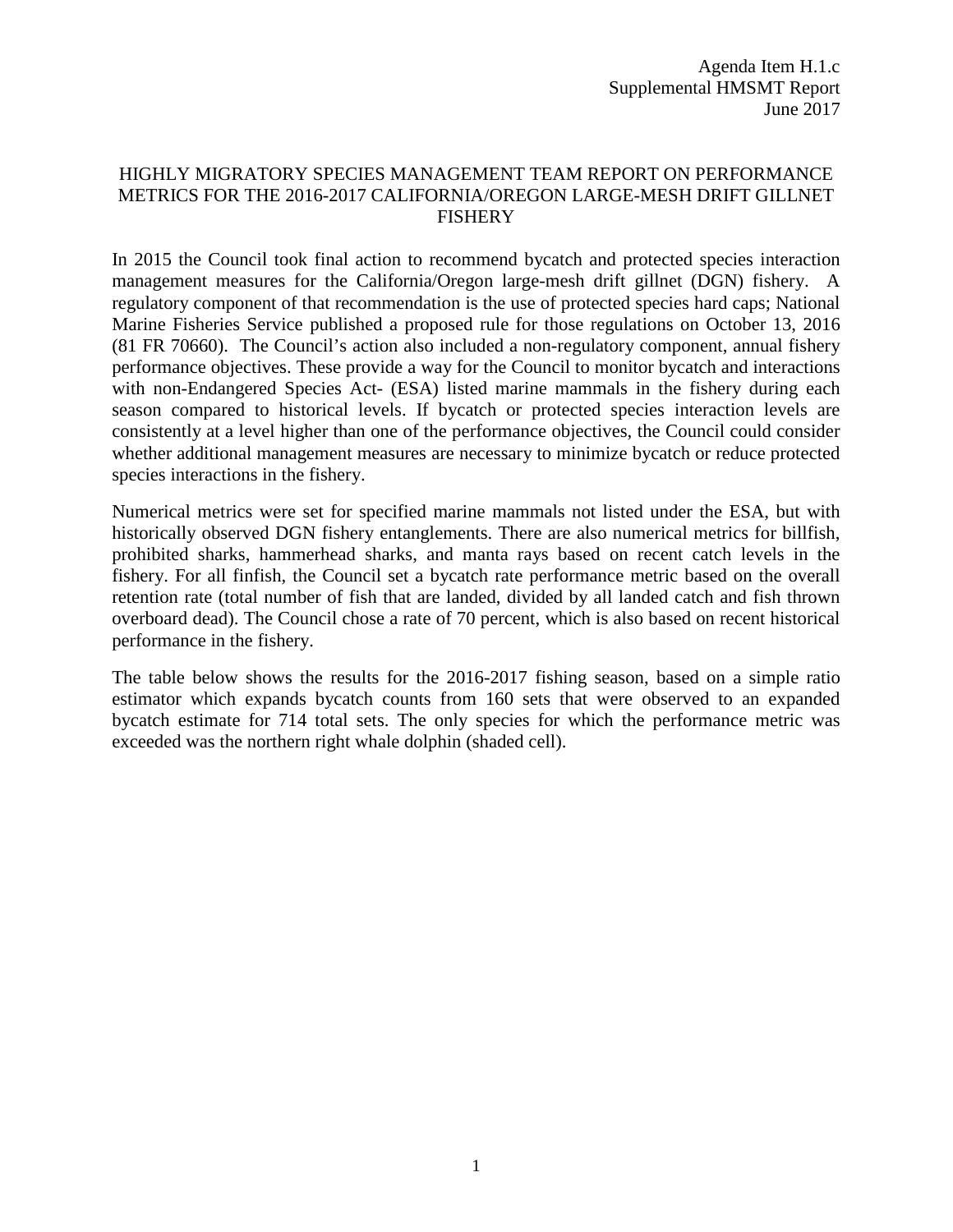## HIGHLY MIGRATORY SPECIES MANAGEMENT TEAM REPORT ON PERFORMANCE METRICS FOR THE 2016-2017 CALIFORNIA/OREGON LARGE-MESH DRIFT GILLNET FISHERY

In 2015 the Council took final action to recommend bycatch and protected species interaction management measures for the California/Oregon large-mesh drift gillnet (DGN) fishery. A regulatory component of that recommendation is the use of protected species hard caps; National Marine Fisheries Service published a proposed rule for those regulations on October 13, 2016 (81 FR 70660). The Council's action also included a non-regulatory component, annual fishery performance objectives. These provide a way for the Council to monitor bycatch and interactions with non-Endangered Species Act- (ESA) listed marine mammals in the fishery during each season compared to historical levels. If bycatch or protected species interaction levels are consistently at a level higher than one of the performance objectives, the Council could consider whether additional management measures are necessary to minimize bycatch or reduce protected species interactions in the fishery.

Numerical metrics were set for specified marine mammals not listed under the ESA, but with historically observed DGN fishery entanglements. There are also numerical metrics for billfish, prohibited sharks, hammerhead sharks, and manta rays based on recent catch levels in the fishery. For all finfish, the Council set a bycatch rate performance metric based on the overall retention rate (total number of fish that are landed, divided by all landed catch and fish thrown overboard dead). The Council chose a rate of 70 percent, which is also based on recent historical performance in the fishery.

The table below shows the results for the 2016-2017 fishing season, based on a simple ratio estimator which expands bycatch counts from 160 sets that were observed to an expanded bycatch estimate for 714 total sets. The only species for which the performance metric was exceeded was the northern right whale dolphin (shaded cell).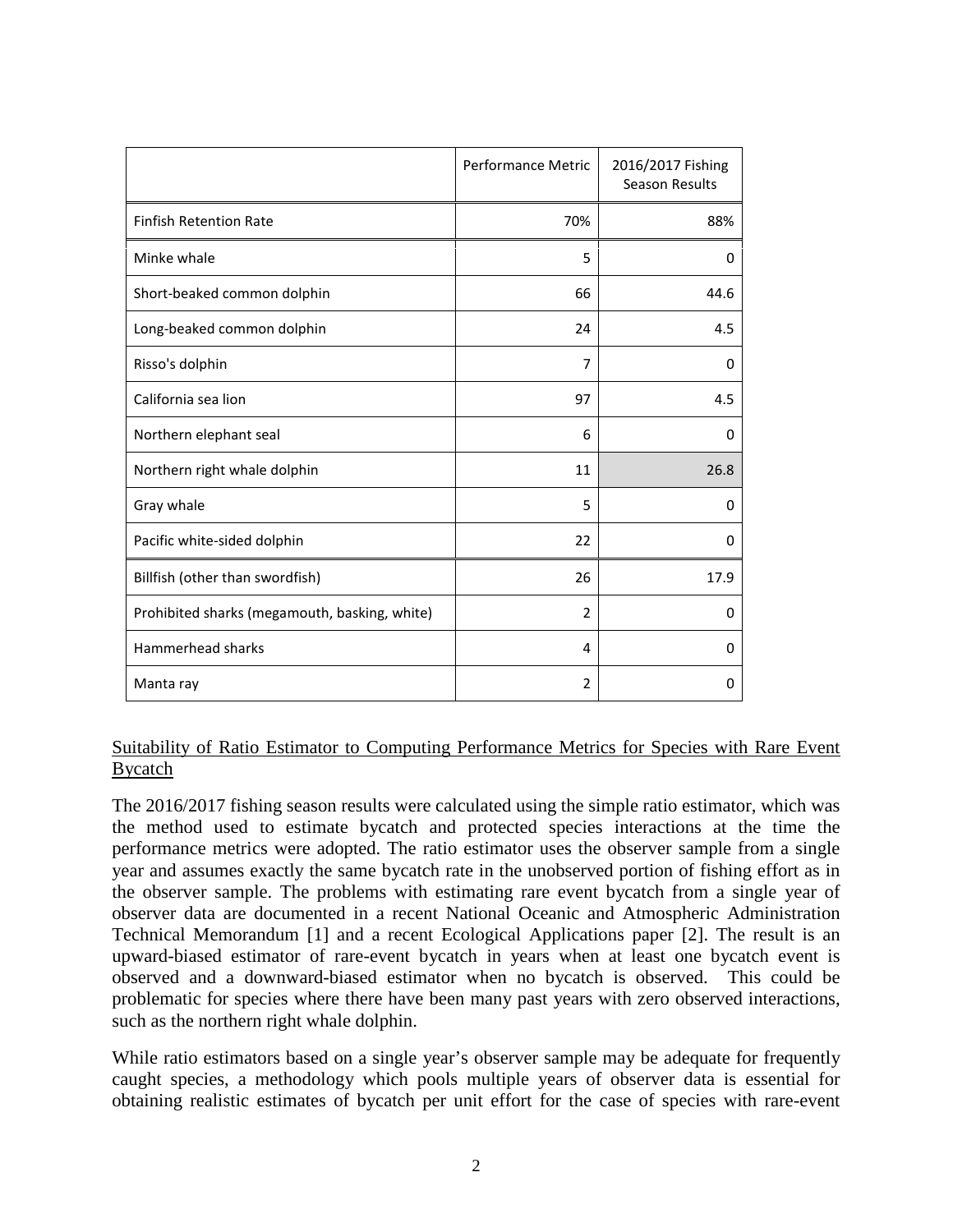|                                               | <b>Performance Metric</b> | 2016/2017 Fishing<br><b>Season Results</b> |
|-----------------------------------------------|---------------------------|--------------------------------------------|
| <b>Finfish Retention Rate</b>                 | 70%                       | 88%                                        |
| Minke whale                                   | 5                         | $\Omega$                                   |
| Short-beaked common dolphin                   | 66                        | 44.6                                       |
| Long-beaked common dolphin                    | 24                        | 4.5                                        |
| Risso's dolphin                               | 7                         | 0                                          |
| California sea lion                           | 97                        | 4.5                                        |
| Northern elephant seal                        | 6                         | $\Omega$                                   |
| Northern right whale dolphin                  | 11                        | 26.8                                       |
| Gray whale                                    | 5                         | $\Omega$                                   |
| Pacific white-sided dolphin                   | 22                        | $\Omega$                                   |
| Billfish (other than swordfish)               | 26                        | 17.9                                       |
| Prohibited sharks (megamouth, basking, white) | $\overline{2}$            | $\Omega$                                   |
| Hammerhead sharks                             | 4                         | $\Omega$                                   |
| Manta ray                                     | $\overline{2}$            | 0                                          |

## Suitability of Ratio Estimator to Computing Performance Metrics for Species with Rare Event Bycatch

The 2016/2017 fishing season results were calculated using the simple ratio estimator, which was the method used to estimate bycatch and protected species interactions at the time the performance metrics were adopted. The ratio estimator uses the observer sample from a single year and assumes exactly the same bycatch rate in the unobserved portion of fishing effort as in the observer sample. The problems with estimating rare event bycatch from a single year of observer data are documented in a recent National Oceanic and Atmospheric Administration Technical Memorandum [1] and a recent Ecological Applications paper [2]. The result is an upward-biased estimator of rare-event bycatch in years when at least one bycatch event is observed and a downward-biased estimator when no bycatch is observed. This could be problematic for species where there have been many past years with zero observed interactions, such as the northern right whale dolphin.

While ratio estimators based on a single year's observer sample may be adequate for frequently caught species, a methodology which pools multiple years of observer data is essential for obtaining realistic estimates of bycatch per unit effort for the case of species with rare-event